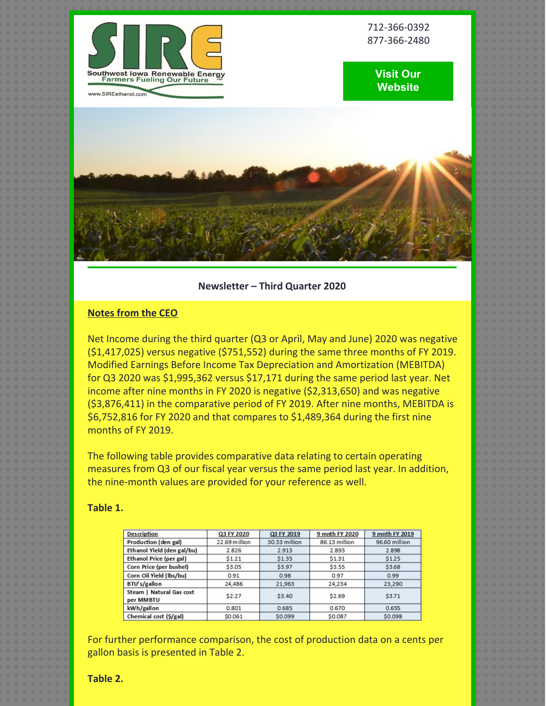

712-366-0392 877-366-2480

# **Visit Our [Website](http://www.sireethanol.com/index.cfm)**



# **Newsletter – Third Quarter 2020**

# **Notes from the CEO**

Net Income during the third quarter (Q3 or April, May and June) 2020 was negative (\$1,417,025) versus negative (\$751,552) during the same three months of FY 2019. Modified Earnings Before Income Tax Depreciation and Amortization (MEBITDA) for Q3 2020 was \$1,995,362 versus \$17,171 during the same period last year. Net income after nine months in FY 2020 is negative (\$2,313,650) and was negative (\$3,876,411) in the comparative period of FY 2019. After nine months, MEBITDA is \$6,752,816 for FY 2020 and that compares to \$1,489,364 during the first nine months of FY 2019.

The following table provides comparative data relating to certain operating measures from Q3 of our fiscal year versus the same period last year. In addition, the nine-month values are provided for your reference as well.

#### **Table 1.**

| <b>Description</b>                    | Q3 FY 2020    | Q3 FY 2019    | 9 mnth FY 2020 | 9 mnth FY 2019 |
|---------------------------------------|---------------|---------------|----------------|----------------|
| Production (den gal)                  | 22.69 million | 30.33 million | 86.13 million  | 96.60 million  |
| Ethanol Yield (den gal/bu)            | 2.826         | 2.913         | 2.893          | 2.898          |
| Ethanol Price (per gal)               | \$1.21        | \$1.35        | \$1.31         | \$1.25         |
| Corn Price (per bushel)               | \$3.05        | \$3.97        | \$3.55         | \$3.68         |
| Corn Oil Yield (lbs/bu)               | 0.91          | 0.98          | 0.97           | 0.99           |
| BTU's/gallon                          | 24,486        | 21,963        | 24,234         | 23,290         |
| Steam   Natural Gas cost<br>per MMBTU | \$2.27        | \$3.40        | \$2.69         | \$3.71         |
| kWh/gallon                            | 0.801         | 0.685         | 0.670          | 0.655          |
| Chemical cost (\$/gal)                | \$0.061       | \$0.099       | \$0.087        | \$0.098        |

For further performance comparison, the cost of production data on a cents per gallon basis is presented in Table 2.

**Table 2.**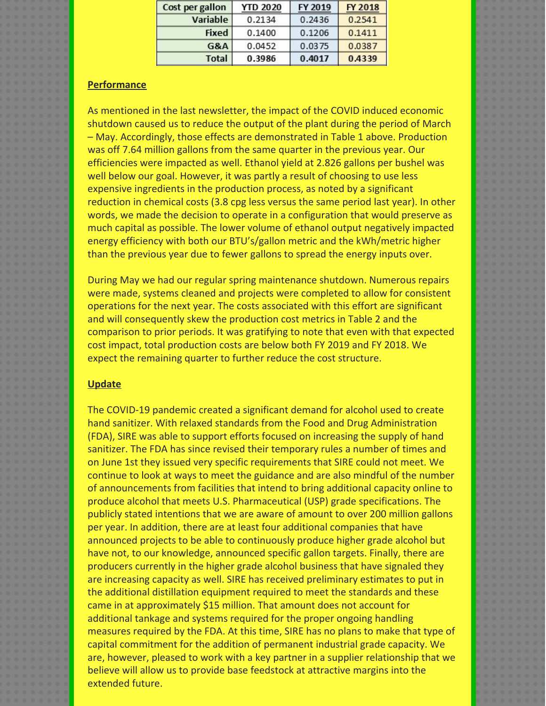| Cost per gallon | <b>YTD 2020</b> | FY 2019 | FY 2018 |
|-----------------|-----------------|---------|---------|
| Variable        | 0.2134          | 0.2436  | 0.2541  |
| <b>Fixed</b>    | 0.1400          | 0.1206  | 0.1411  |
| G&A             | 0.0452          | 0.0375  | 0.0387  |
| <b>Total</b>    | 0.3986          | 0.4017  | 0.4339  |

## **Performance**

As mentioned in the last newsletter, the impact of the COVID induced economic shutdown caused us to reduce the output of the plant during the period of March – May. Accordingly, those effects are demonstrated in Table 1 above. Production was off 7.64 million gallons from the same quarter in the previous year. Our efficiencies were impacted as well. Ethanol yield at 2.826 gallons per bushel was well below our goal. However, it was partly a result of choosing to use less expensive ingredients in the production process, as noted by a significant reduction in chemical costs (3.8 cpg less versus the same period last year). In other words, we made the decision to operate in a configuration that would preserve as much capital as possible. The lower volume of ethanol output negatively impacted energy efficiency with both our BTU's/gallon metric and the kWh/metric higher than the previous year due to fewer gallons to spread the energy inputs over.

During May we had our regular spring maintenance shutdown. Numerous repairs were made, systems cleaned and projects were completed to allow for consistent operations for the next year. The costs associated with this effort are significant and will consequently skew the production cost metrics in Table 2 and the comparison to prior periods. It was gratifying to note that even with that expected cost impact, total production costs are below both FY 2019 and FY 2018. We expect the remaining quarter to further reduce the cost structure.

## **Update**

The COVID-19 pandemic created a significant demand for alcohol used to create hand sanitizer. With relaxed standards from the Food and Drug Administration (FDA), SIRE was able to support efforts focused on increasing the supply of hand sanitizer. The FDA has since revised their temporary rules a number of times and on June 1st they issued very specific requirements that SIRE could not meet. We continue to look at ways to meet the guidance and are also mindful of the number of announcements from facilities that intend to bring additional capacity online to produce alcohol that meets U.S. Pharmaceutical (USP) grade specifications. The publicly stated intentions that we are aware of amount to over 200 million gallons per year. In addition, there are at least four additional companies that have announced projects to be able to continuously produce higher grade alcohol but have not, to our knowledge, announced specific gallon targets. Finally, there are producers currently in the higher grade alcohol business that have signaled they are increasing capacity as well. SIRE has received preliminary estimates to put in the additional distillation equipment required to meet the standards and these came in at approximately \$15 million. That amount does not account for additional tankage and systems required for the proper ongoing handling measures required by the FDA. At this time, SIRE has no plans to make that type of capital commitment for the addition of permanent industrial grade capacity. We are, however, pleased to work with a key partner in a supplier relationship that we believe will allow us to provide base feedstock at attractive margins into the extended future.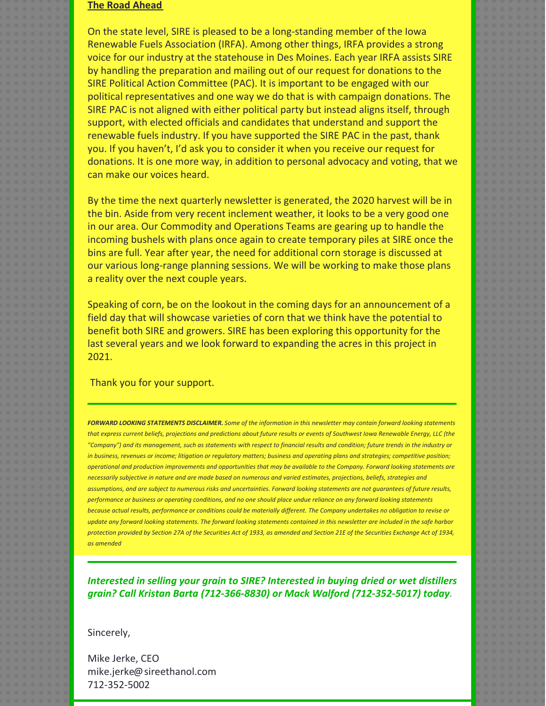### **The Road Ahead**

On the state level, SIRE is pleased to be a long-standing member of the Iowa Renewable Fuels Association (IRFA). Among other things, IRFA provides a strong voice for our industry at the statehouse in Des Moines. Each year IRFA assists SIRE by handling the preparation and mailing out of our request for donations to the SIRE Political Action Committee (PAC). It is important to be engaged with our political representatives and one way we do that is with campaign donations. The SIRE PAC is not aligned with either political party but instead aligns itself, through support, with elected officials and candidates that understand and support the renewable fuels industry. If you have supported the SIRE PAC in the past, thank you. If you haven't, I'd ask you to consider it when you receive our request for donations. It is one more way, in addition to personal advocacy and voting, that we can make our voices heard.

By the time the next quarterly newsletter is generated, the 2020 harvest will be in the bin. Aside from very recent inclement weather, it looks to be a very good one in our area. Our Commodity and Operations Teams are gearing up to handle the incoming bushels with plans once again to create temporary piles at SIRE once the bins are full. Year after year, the need for additional corn storage is discussed at our various long-range planning sessions. We will be working to make those plans a reality over the next couple years.

Speaking of corn, be on the lookout in the coming days for an announcement of a field day that will showcase varieties of corn that we think have the potential to benefit both SIRE and growers. SIRE has been exploring this opportunity for the last several years and we look forward to expanding the acres in this project in 2021.

Thank you for your support.

FORWARD LOOKING STATEMENTS DISCLAIMER. Some of the information in this newsletter may contain forward looking statements that express current beliefs, projections and predictions about future results or events of Southwest Iowa Renewable Energy, LLC (the "Company") and its management, such as statements with respect to financial results and condition; future trends in the industry or in business, revenues or income; litigation or regulatory matters; business and operating plans and strategies; competitive position; operational and production improvements and opportunities that may be available to the Company. Forward looking statements are necessarily subjective in nature and are made based on numerous and varied estimates, projections, beliefs, strategies and assumptions, and are subject to numerous risks and uncertainties. Forward looking statements are not guarantees of future results, performance or business or operating conditions, and no one should place undue reliance on any forward looking statements because actual results, performance or conditions could be materially different. The Company undertakes no obligation to revise or update any forward looking statements. The forward looking statements contained in this newsletter are included in the safe harbor protection provided by Section 27A of the Securities Act of 1933, as amended and Section 21E of the Securities Exchange Act of 1934, *as amended*

*Interested in selling your grain to SIRE? Interested in buying dried or wet distillers grain? Call Kristan Barta (712-366-8830) or Mack Walford (712-352-5017) today.*

Sincerely,

Mike Jerke, CEO mike.jerke@sireethanol.com 712-352-5002